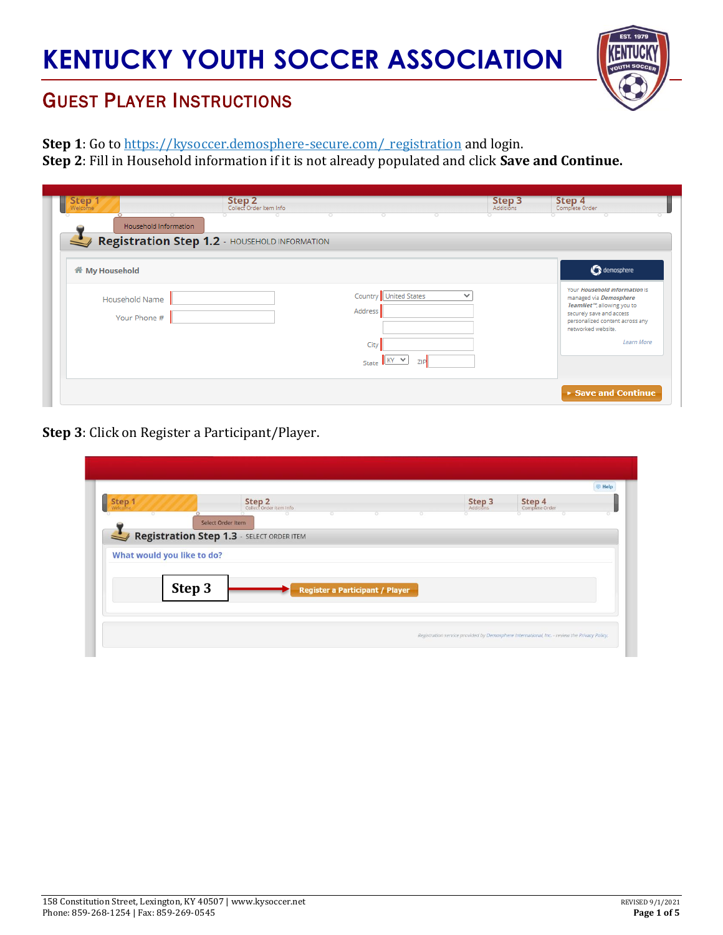

## GUEST PLAYER INSTRUCTIONS

Step 1: Go to https://kysoccer.demosphere-secure.com/ registration and login.

**Step 2**: Fill in Household information if it is not already populated and click **Save and Continue.**

| demosphere                                                                                                                                                                                            |
|-------------------------------------------------------------------------------------------------------------------------------------------------------------------------------------------------------|
| Your Household information is<br>managed via Demosphere<br>TeamNet <sup>10</sup> , allowing you to<br>securely save and access<br>personalized content across any<br>networked website.<br>Learn More |
| Save and Continue                                                                                                                                                                                     |
|                                                                                                                                                                                                       |

**Step 3**: Click on Register a Participant/Player.

| Welcome<br>o |                            | Step 2<br>Collect Order Item Info                |                                        | <b>Step 3</b><br>Additions | <b>Step 4</b><br>Complete Order |  |
|--------------|----------------------------|--------------------------------------------------|----------------------------------------|----------------------------|---------------------------------|--|
|              | Select Order Item          |                                                  |                                        |                            |                                 |  |
|              |                            | <b>Registration Step 1.3</b> - SELECT ORDER ITEM |                                        |                            |                                 |  |
|              |                            |                                                  |                                        |                            |                                 |  |
|              | What would you like to do? |                                                  |                                        |                            |                                 |  |
|              |                            |                                                  |                                        |                            |                                 |  |
|              |                            |                                                  |                                        |                            |                                 |  |
|              | Step 3                     |                                                  | <b>Register a Participant / Player</b> |                            |                                 |  |
|              |                            |                                                  |                                        |                            |                                 |  |
|              |                            |                                                  |                                        |                            |                                 |  |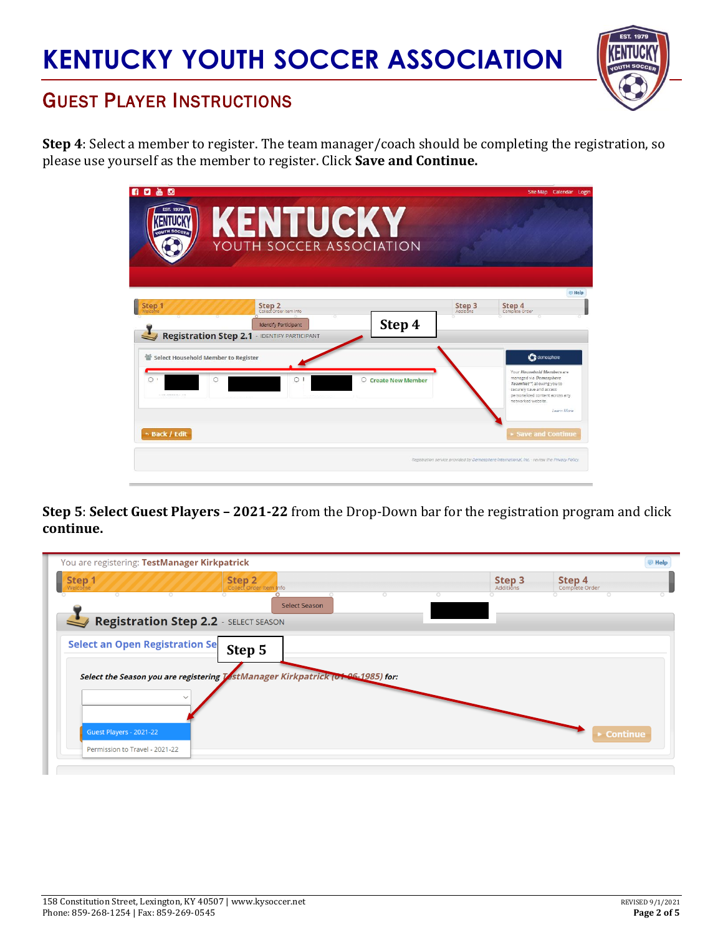

## GUEST PLAYER INSTRUCTIONS

**Step 4**: Select a member to register. The team manager/coach should be completing the registration, so please use yourself as the member to register. Click **Save and Continue.**

| $\bullet$<br>畾<br>ы<br><b>EST, 1979</b>  | KENTUCKY<br><b>YOUTH SOCCER ASSOCIATION</b>                                                                             |                               |        | Site Map Calendar Login                                                                                                                                                                                                   |
|------------------------------------------|-------------------------------------------------------------------------------------------------------------------------|-------------------------------|--------|---------------------------------------------------------------------------------------------------------------------------------------------------------------------------------------------------------------------------|
| Step 1                                   | Step 2<br>Collect Order Item Info<br><b>Identify Participant</b><br><b>Registration Step 2.1 . IDENTIFY PARTICIPANT</b> | Step 4                        | Step 3 | <b>E</b> Help<br>Step 4<br>Complete Order                                                                                                                                                                                 |
| Select Household Member to Register<br>C | $\circ$                                                                                                                 | <b>Create New Member</b><br>О |        | <b>C</b> demosphere<br>Your Household Members are<br>managed via Demosphere<br>TeamNet <sup>re</sup> , allowing you to<br>securely save and access<br>personalized content across any<br>networked website.<br>Learn More |
| ← Back / Edit                            |                                                                                                                         |                               |        | <b>Save and Continue</b><br>Registration service provided by Demosphere International, Inc. - review the Privacy Policy.                                                                                                  |

**Step 5**: **Select Guest Players – 2021-22** from the Drop-Down bar for the registration program and click **continue.**

| You are registering: TestManager Kirkpatrick                                                   |                                       |                          | <b>E</b> Help |
|------------------------------------------------------------------------------------------------|---------------------------------------|--------------------------|---------------|
| Step 1<br>Step <sub>2</sub><br>Collect Order Item Info<br><b>Welcome</b><br>$\circ$<br>$\circ$ | Step <sub>3</sub><br><b>Additions</b> | Step 4<br>Complete Order |               |
| <b>Select Season</b>                                                                           |                                       |                          |               |
| Registration Step 2.2 SELECT SEASON                                                            |                                       |                          |               |
| <b>Select an Open Registration Se</b><br>Step 5                                                |                                       |                          |               |
| Select the Season you are registering TestManager Kirkpatrick (01-96-1985) for:                |                                       |                          |               |
|                                                                                                |                                       |                          |               |
|                                                                                                |                                       |                          |               |
| Guest Players - 2021-22                                                                        |                                       | <b>Continue</b>          |               |
| Permission to Travel - 2021-22                                                                 |                                       |                          |               |
|                                                                                                |                                       |                          |               |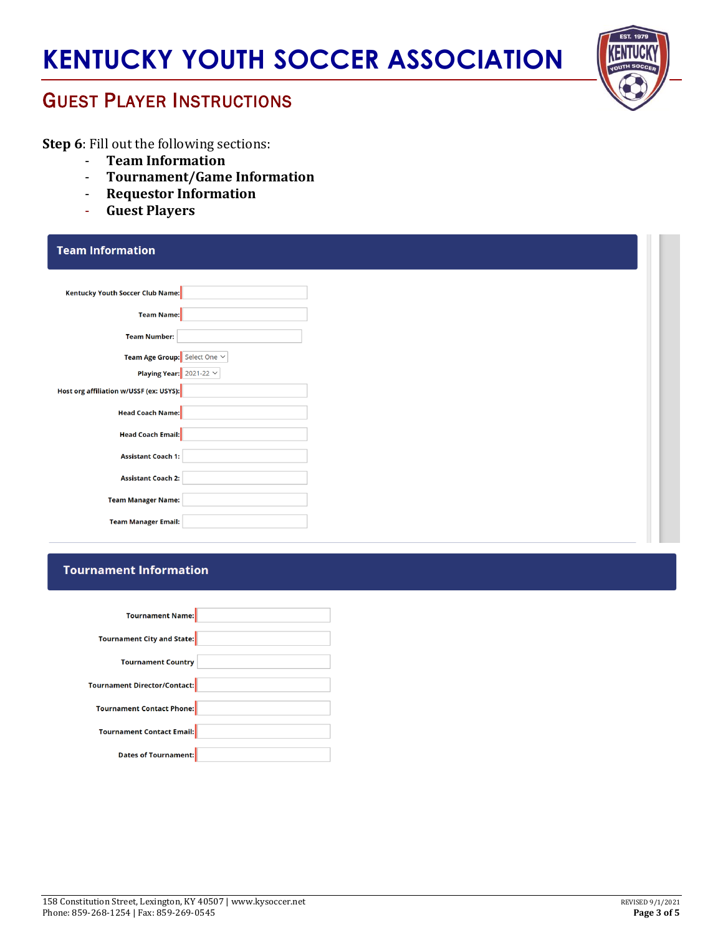

### GUEST PLAYER INSTRUCTIONS

**Step 6**: Fill out the following sections:

- **Team Information**
- **Tournament/Game Information**
- **Requestor Information**
- **Guest Players**

| <b>Team Information</b>                 |  |
|-----------------------------------------|--|
| Kentucky Youth Soccer Club Name:        |  |
| <b>Team Name:</b>                       |  |
| <b>Team Number:</b>                     |  |
| Team Age Group: Select One $\vee$       |  |
| Playing Year: $2021-22 \times$          |  |
| Host org affiliation w/USSF (ex: USYS): |  |
| Head Coach Name:                        |  |
| <b>Head Coach Email:</b>                |  |
| <b>Assistant Coach 1:</b>               |  |
| <b>Assistant Coach 2:</b>               |  |
| <b>Team Manager Name:</b>               |  |
| <b>Team Manager Email:</b>              |  |
|                                         |  |

#### **Tournament Information**

| Tournament Name:                            |  |
|---------------------------------------------|--|
|                                             |  |
| Tournament City and State:                  |  |
|                                             |  |
| <b>Tournament Country</b>                   |  |
|                                             |  |
| Tournament Director/Contact: <mark>-</mark> |  |
|                                             |  |
| Tournament Contact Phone:                   |  |
|                                             |  |
| Tournament Contact Email:                   |  |
|                                             |  |
| Dates of Tournament:                        |  |
|                                             |  |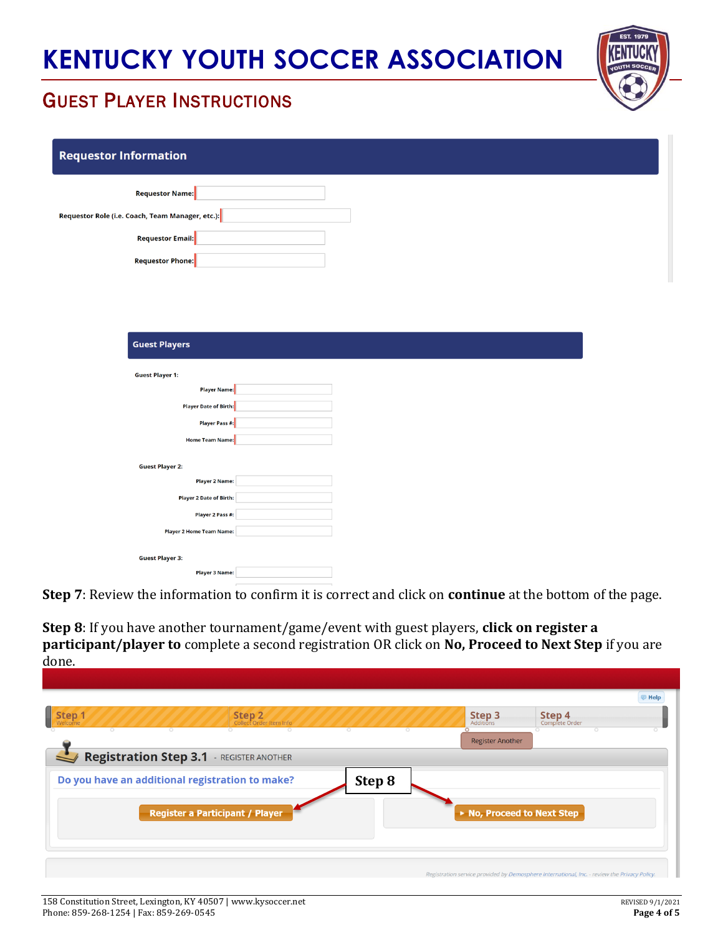

## GUEST PLAYER INSTRUCTIONS

| <b>Requestor Information</b>                     |  |
|--------------------------------------------------|--|
| Requestor Name:                                  |  |
| Requestor Role (i.e. Coach, Team Manager, etc.): |  |
| Requestor Email:                                 |  |
| Requestor Phone:                                 |  |
|                                                  |  |
|                                                  |  |
|                                                  |  |
| <b>Guest Players</b>                             |  |
| <b>Guest Player 1:</b>                           |  |
| Player Name:                                     |  |
| Player Date of Birth:                            |  |
| Player Pass #:                                   |  |
| Home Team Name:                                  |  |
| <b>Guest Player 2:</b>                           |  |
| <b>Player 2 Name:</b>                            |  |
| Player 2 Date of Birth:                          |  |
| Player 2 Pass #:                                 |  |
| Player 2 Home Team Name:                         |  |
| <b>Guest Player 3:</b>                           |  |
| Player 3 Name:                                   |  |

**Step 7**: Review the information to confirm it is correct and click on **continue** at the bottom of the page.

**Step 8**: If you have another tournament/game/event with guest players, **click on register a participant/player to** complete a second registration OR click on **No, Proceed to Next Step** if you are done.

|                                                           |                            | <b>E</b> Help                                                                                |
|-----------------------------------------------------------|----------------------------|----------------------------------------------------------------------------------------------|
| Step 1<br>Step 2<br>Collect Order Item Info               | Step 3<br>Additions        | <b>Step 4</b> Complete Order                                                                 |
| $\circ$<br>$\circ$<br>$\circ$<br>$\circ$<br>$\circ$       | <b>Register Another</b>    |                                                                                              |
| <b>Registration Step 3.1</b> - REGISTER ANOTHER           |                            |                                                                                              |
| Do you have an additional registration to make?<br>Step 8 |                            |                                                                                              |
| <b>Register a Participant / Player</b>                    | ▶ No, Proceed to Next Step |                                                                                              |
|                                                           |                            |                                                                                              |
|                                                           |                            |                                                                                              |
|                                                           |                            | Registration service provided by Demosphere International, Inc. - review the Privacy Policy. |